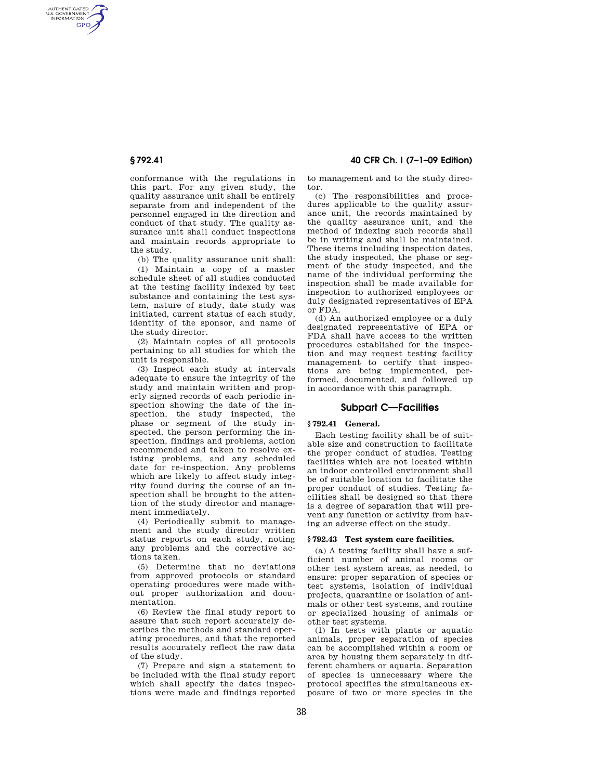AUTHENTICATED<br>U.S. GOVERNMENT<br>INFORMATION **GPO** 

> conformance with the regulations in this part. For any given study, the quality assurance unit shall be entirely separate from and independent of the personnel engaged in the direction and conduct of that study. The quality assurance unit shall conduct inspections and maintain records appropriate to the study.

(b) The quality assurance unit shall:

(1) Maintain a copy of a master schedule sheet of all studies conducted at the testing facility indexed by test substance and containing the test system, nature of study, date study was initiated, current status of each study, identity of the sponsor, and name of the study director.

(2) Maintain copies of all protocols pertaining to all studies for which the unit is responsible.

(3) Inspect each study at intervals adequate to ensure the integrity of the study and maintain written and properly signed records of each periodic inspection showing the date of the inspection, the study inspected, the phase or segment of the study inspected, the person performing the inspection, findings and problems, action recommended and taken to resolve existing problems, and any scheduled date for re-inspection. Any problems which are likely to affect study integrity found during the course of an inspection shall be brought to the attention of the study director and management immediately.

(4) Periodically submit to management and the study director written status reports on each study, noting any problems and the corrective actions taken.

(5) Determine that no deviations from approved protocols or standard operating procedures were made without proper authorization and documentation.

(6) Review the final study report to assure that such report accurately describes the methods and standard operating procedures, and that the reported results accurately reflect the raw data of the study.

(7) Prepare and sign a statement to be included with the final study report which shall specify the dates inspections were made and findings reported

**§ 792.41 40 CFR Ch. I (7–1–09 Edition)** 

to management and to the study director.

(c) The responsibilities and procedures applicable to the quality assurance unit, the records maintained by the quality assurance unit, and the method of indexing such records shall be in writing and shall be maintained. These items including inspection dates, the study inspected, the phase or segment of the study inspected, and the name of the individual performing the inspection shall be made available for inspection to authorized employees or duly designated representatives of EPA or FDA.

(d) An authorized employee or a duly designated representative of EPA or FDA shall have access to the written procedures established for the inspection and may request testing facility management to certify that inspections are being implemented, performed, documented, and followed up in accordance with this paragraph.

# **Subpart C—Facilities**

### **§ 792.41 General.**

Each testing facility shall be of suitable size and construction to facilitate the proper conduct of studies. Testing facilities which are not located within an indoor controlled environment shall be of suitable location to facilitate the proper conduct of studies. Testing facilities shall be designed so that there is a degree of separation that will prevent any function or activity from having an adverse effect on the study.

#### **§ 792.43 Test system care facilities.**

(a) A testing facility shall have a sufficient number of animal rooms or other test system areas, as needed, to ensure: proper separation of species or test systems, isolation of individual projects, quarantine or isolation of animals or other test systems, and routine or specialized housing of animals or other test systems.

(1) In tests with plants or aquatic animals, proper separation of species can be accomplished within a room or area by housing them separately in different chambers or aquaria. Separation of species is unnecessary where the protocol specifies the simultaneous exposure of two or more species in the